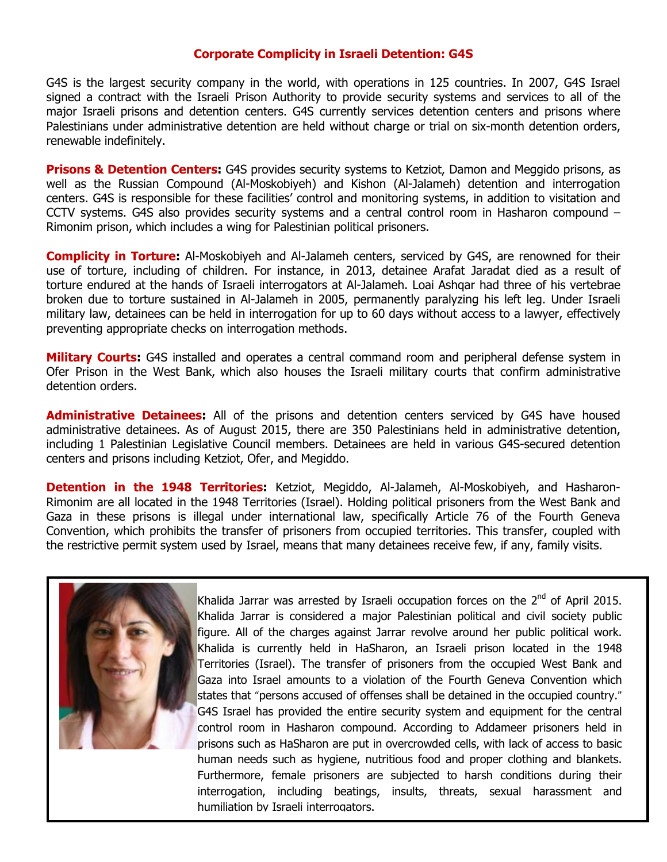## **Corporate Complicity in Israeli Detention: G4S**

G4S is the largest security company in the world, with operations in 125 countries. In 2007, G4S Israel signed a contract with the Israeli Prison Authority to provide security systems and services to all of the major Israeli prisons and detention centers. G4S currently services detention centers and prisons where Palestinians under administrative detention are held without charge or trial on six-month detention orders, renewable indefinitely.

**Prisons & Detention Centers:** G4S provides security systems to Ketziot, Damon and Meggido prisons, as well as the Russian Compound (Al-Moskobiyeh) and Kishon (Al-Jalameh) detention and interrogation centers. G4S is responsible for these facilities' control and monitoring systems, in addition to visitation and CCTV systems. G4S also provides security systems and a central control room in Hasharon compound – Rimonim prison, which includes a wing for Palestinian political prisoners.

**Complicity in Torture:** Al-Moskobiyeh and Al-Jalameh centers, serviced by G4S, are renowned for their use of torture, including of children. For instance, in 2013, detainee Arafat Jaradat died as a result of torture endured at the hands of Israeli interrogators at Al-Jalameh. Loai Ashqar had three of his vertebrae broken due to torture sustained in Al-Jalameh in 2005, permanently paralyzing his left leg. Under Israeli military law, detainees can be held in interrogation for up to 60 days without access to a lawyer, effectively preventing appropriate checks on interrogation methods.

**Military Courts:** G4S installed and operates a central command room and peripheral defense system in Ofer Prison in the West Bank, which also houses the Israeli military courts that confirm administrative detention orders.

**Administrative Detainees:** All of the prisons and detention centers serviced by G4S have housed administrative detainees. As of August 2015, there are 350 Palestinians held in administrative detention, including 1 Palestinian Legislative Council members. Detainees are held in various G4S-secured detention centers and prisons including Ketziot, Ofer, and Megiddo.

**Detention in the 1948 Territories:** Ketziot, Megiddo, Al-Jalameh, Al-Moskobiyeh, and Hasharon-Rimonim are all located in the 1948 Territories (Israel). Holding political prisoners from the West Bank and Gaza in these prisons is illegal under international law, specifically Article 76 of the Fourth Geneva Convention, which prohibits the transfer of prisoners from occupied territories. This transfer, coupled with the restrictive permit system used by Israel, means that many detainees receive few, if any, family visits.



Khalida Jarrar was arrested by Israeli occupation forces on the  $2^{nd}$  of April 2015. Khalida Jarrar is considered a major Palestinian political and civil society public figure. All of the charges against Jarrar revolve around her public political work. Khalida is currently held in HaSharon, an Israeli prison located in the 1948 Territories (Israel). The transfer of prisoners from the occupied West Bank and Gaza into Israel amounts to a violation of the Fourth Geneva Convention which states that "persons accused of offenses shall be detained in the occupied country." G4S Israel has provided the entire security system and equipment for the central control room in Hasharon compound. According to Addameer prisoners held in prisons such as HaSharon are put in overcrowded cells, with lack of access to basic human needs such as hygiene, nutritious food and proper clothing and blankets. Furthermore, female prisoners are subjected to harsh conditions during their interrogation, including beatings, insults, threats, sexual harassment and humiliation by Israeli interrogators.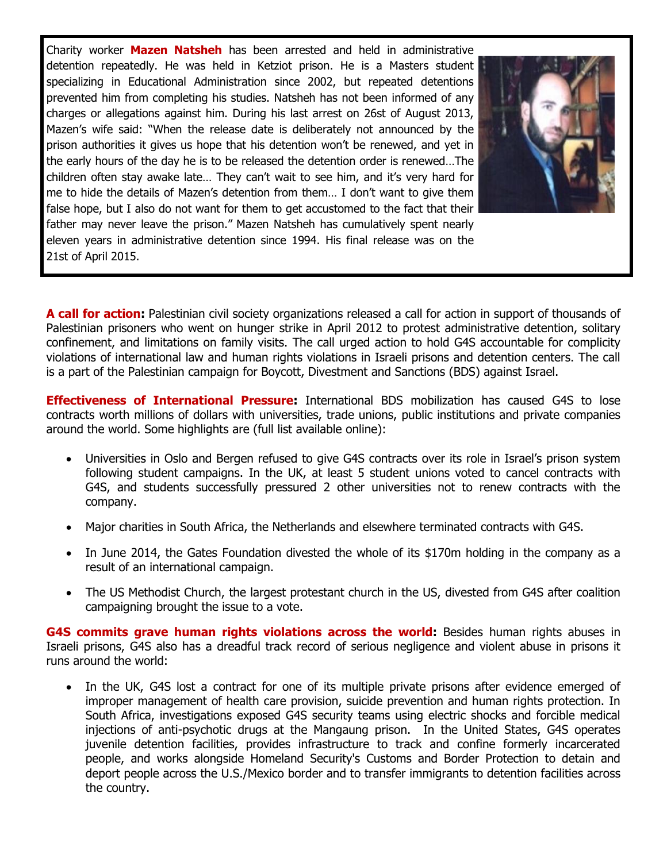Charity worker **Mazen Natsheh** has been arrested and held in administrative detention repeatedly. He was held in Ketziot prison. He is a Masters student specializing in Educational Administration since 2002, but repeated detentions prevented him from completing his studies. Natsheh has not been informed of any charges or allegations against him. During his last arrest on 26st of August 2013, Mazen's wife said: "When the release date is deliberately not announced by the prison authorities it gives us hope that his detention won't be renewed, and yet in the early hours of the day he is to be released the detention order is renewed…The children often stay awake late… They can't wait to see him, and it's very hard for me to hide the details of Mazen's detention from them… I don't want to give them false hope, but I also do not want for them to get accustomed to the fact that their father may never leave the prison." Mazen Natsheh has cumulatively spent nearly eleven years in administrative detention since 1994. His final release was on the 21st of April 2015.



**A call for action:** Palestinian civil society organizations released a call for action in support of thousands of Palestinian prisoners who went on hunger strike in April 2012 to protest administrative detention, solitary confinement, and limitations on family visits. The call urged action to hold G4S accountable for complicity violations of international law and human rights violations in Israeli prisons and detention centers. The call is a part of the Palestinian campaign for Boycott, Divestment and Sanctions (BDS) against Israel.

**Effectiveness of International Pressure:** International BDS mobilization has caused G4S to lose contracts worth millions of dollars with universities, trade unions, public institutions and private companies around the world. Some highlights are (full list available online):

- Universities in Oslo and Bergen refused to give G4S contracts over its role in Israel's prison system following student campaigns. In the UK, at least 5 student unions voted to cancel contracts with G4S, and students successfully pressured 2 other universities not to renew contracts with the company.
- Major charities in South Africa, the Netherlands and elsewhere terminated contracts with G4S.
- In June 2014, the Gates Foundation divested the whole of its \$170m holding in the company as a result of an international campaign.
- The US Methodist Church, the largest protestant church in the US, divested from G4S after coalition campaigning brought the issue to a vote.

**G4S commits grave human rights violations across the world:** Besides human rights abuses in Israeli prisons, G4S also has a dreadful track record of serious negligence and violent abuse in prisons it runs around the world:

• In the UK, G4S lost a contract for one of its multiple private prisons after evidence emerged of improper management of health care provision, suicide prevention and human rights protection. In South Africa, investigations exposed G4S security teams using electric shocks and forcible medical injections of anti-psychotic drugs at the Mangaung prison. In the United States, G4S operates juvenile detention facilities, provides infrastructure to track and confine formerly incarcerated people, and works alongside Homeland Security's Customs and Border Protection to detain and deport people across the U.S./Mexico border and to transfer immigrants to detention facilities across the country.